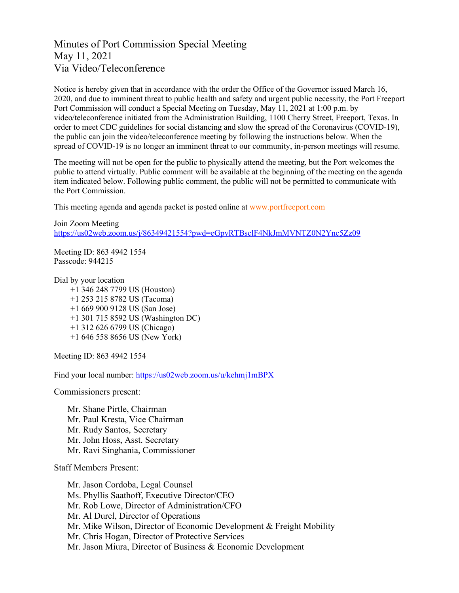## Minutes of Port Commission Special Meeting May 11, 2021 Via Video/Teleconference

Notice is hereby given that in accordance with the order the Office of the Governor issued March 16, 2020, and due to imminent threat to public health and safety and urgent public necessity, the Port Freeport Port Commission will conduct a Special Meeting on Tuesday, May 11, 2021 at 1:00 p.m. by video/teleconference initiated from the Administration Building, 1100 Cherry Street, Freeport, Texas. In order to meet CDC guidelines for social distancing and slow the spread of the Coronavirus (COVID-19), the public can join the video/teleconference meeting by following the instructions below. When the spread of COVID-19 is no longer an imminent threat to our community, in-person meetings will resume.

The meeting will not be open for the public to physically attend the meeting, but the Port welcomes the public to attend virtually. Public comment will be available at the beginning of the meeting on the agenda item indicated below. Following public comment, the public will not be permitted to communicate with the Port Commission.

This meeting agenda and agenda packet is posted online at [www.portfreeport.com](http://www.portfreeport.com/)

Join Zoom Meeting <https://us02web.zoom.us/j/86349421554?pwd=eGpvRTBsclF4NkJmMVNTZ0N2Ync5Zz09>

Meeting ID: 863 4942 1554 Passcode: 944215

Dial by your location

+1 346 248 7799 US (Houston) +1 253 215 8782 US (Tacoma) +1 669 900 9128 US (San Jose) +1 301 715 8592 US (Washington DC) +1 312 626 6799 US (Chicago) +1 646 558 8656 US (New York)

Meeting ID: 863 4942 1554

Find your local number:<https://us02web.zoom.us/u/kehmj1mBPX>

Commissioners present:

Mr. Shane Pirtle, Chairman Mr. Paul Kresta, Vice Chairman Mr. Rudy Santos, Secretary Mr. John Hoss, Asst. Secretary Mr. Ravi Singhania, Commissioner

Staff Members Present:

Mr. Jason Cordoba, Legal Counsel Ms. Phyllis Saathoff, Executive Director/CEO Mr. Rob Lowe, Director of Administration/CFO Mr. Al Durel, Director of Operations Mr. Mike Wilson, Director of Economic Development & Freight Mobility Mr. Chris Hogan, Director of Protective Services Mr. Jason Miura, Director of Business & Economic Development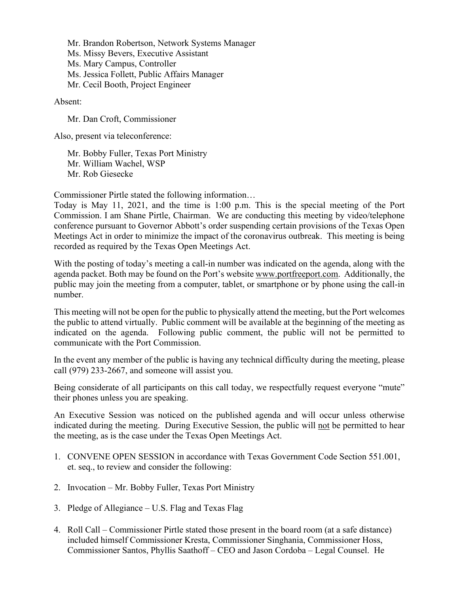Mr. Brandon Robertson, Network Systems Manager Ms. Missy Bevers, Executive Assistant Ms. Mary Campus, Controller Ms. Jessica Follett, Public Affairs Manager Mr. Cecil Booth, Project Engineer

Absent:

Mr. Dan Croft, Commissioner

Also, present via teleconference:

Mr. Bobby Fuller, Texas Port Ministry Mr. William Wachel, WSP Mr. Rob Giesecke

Commissioner Pirtle stated the following information…

Today is May 11, 2021, and the time is 1:00 p.m. This is the special meeting of the Port Commission. I am Shane Pirtle, Chairman. We are conducting this meeting by video/telephone conference pursuant to Governor Abbott's order suspending certain provisions of the Texas Open Meetings Act in order to minimize the impact of the coronavirus outbreak. This meeting is being recorded as required by the Texas Open Meetings Act.

With the posting of today's meeting a call-in number was indicated on the agenda, along with the agenda packet. Both may be found on the Port's website [www.portfreeport.com.](http://www.portfreeport.com/) Additionally, the public may join the meeting from a computer, tablet, or smartphone or by phone using the call-in number.

This meeting will not be open for the public to physically attend the meeting, but the Port welcomes the public to attend virtually. Public comment will be available at the beginning of the meeting as indicated on the agenda. Following public comment, the public will not be permitted to communicate with the Port Commission.

In the event any member of the public is having any technical difficulty during the meeting, please call (979) 233-2667, and someone will assist you.

Being considerate of all participants on this call today, we respectfully request everyone "mute" their phones unless you are speaking.

An Executive Session was noticed on the published agenda and will occur unless otherwise indicated during the meeting. During Executive Session, the public will not be permitted to hear the meeting, as is the case under the Texas Open Meetings Act.

- 1. CONVENE OPEN SESSION in accordance with Texas Government Code Section 551.001, et. seq., to review and consider the following:
- 2. Invocation Mr. Bobby Fuller, Texas Port Ministry
- 3. Pledge of Allegiance U.S. Flag and Texas Flag
- 4. Roll Call Commissioner Pirtle stated those present in the board room (at a safe distance) included himself Commissioner Kresta, Commissioner Singhania, Commissioner Hoss, Commissioner Santos, Phyllis Saathoff – CEO and Jason Cordoba – Legal Counsel. He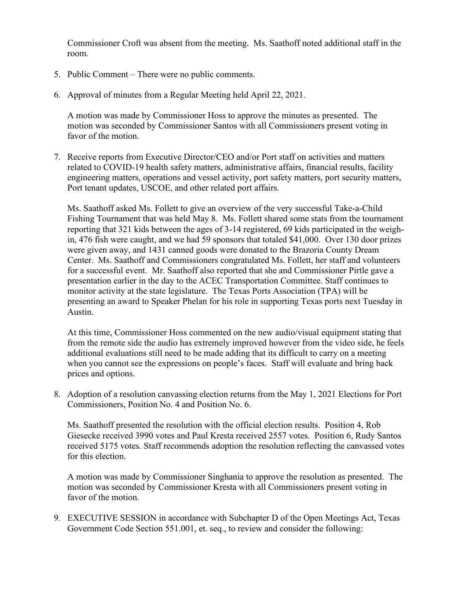Commissioner Croft was absent from the meeting. Ms. Saathoff noted additional staff in the room.

- 5. Public Comment There were no public comments.
- 6. Approval of minutes from a Regular Meeting held April 22, 2021.

A motion was made by Commissioner Hoss to approve the minutes as presented. The motion was seconded by Commissioner Santos with all Commissioners present voting in favor of the motion.

7. Receive reports from Executive Director/CEO and/or Port staff on activities and matters related to COVID-19 health safety matters, administrative affairs, financial results, facility engineering matters, operations and vessel activity, port safety matters, port security matters, Port tenant updates, USCOE, and other related port affairs.

Ms. Saathoff asked Ms. Follett to give an overview of the very successful Take-a-Child Fishing Tournament that was held May 8. Ms. Follett shared some stats from the tournament reporting that 321 kids between the ages of 3-14 registered, 69 kids participated in the weighin, 476 fish were caught, and we had 59 sponsors that totaled \$41,000. Over 130 door prizes were given away, and 1431 canned goods were donated to the Brazoria County Dream Center. Ms. Saathoff and Commissioners congratulated Ms. Follett, her staff and volunteers for a successful event. Mr. Saathoff also reported that she and Commissioner Pirtle gave a presentation earlier in the day to the ACEC Transportation Committee. Staff continues to monitor activity at the state legislature. The Texas Ports Association (TPA) will be presenting an award to Speaker Phelan for his role in supporting Texas ports next Tuesday in Austin.

At this time, Commissioner Hoss commented on the new audio/visual equipment stating that from the remote side the audio has extremely improved however from the video side, he feels additional evaluations still need to be made adding that its difficult to carry on a meeting when you cannot see the expressions on people's faces. Staff will evaluate and bring back prices and options.

8. Adoption of a resolution canvassing election returns from the May 1, 2021 Elections for Port Commissioners, Position No. 4 and Position No. 6.

Ms. Saathoff presented the resolution with the official election results. Position 4, Rob Giesecke received 3990 votes and Paul Kresta received 2557 votes. Position 6, Rudy Santos received 5175 votes. Staff recommends adoption the resolution reflecting the canvassed votes for this election.

A motion was made by Commissioner Singhania to approve the resolution as presented. The motion was seconded by Commissioner Kresta with all Commissioners present voting in favor of the motion.

9. EXECUTIVE SESSION in accordance with Subchapter D of the Open Meetings Act, Texas Government Code Section 551.001, et. seq., to review and consider the following: